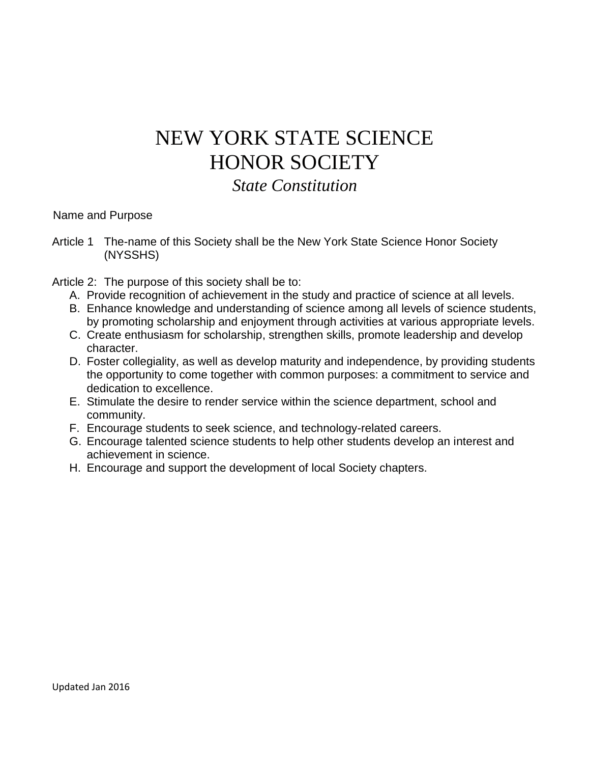## NEW YORK STATE SCIENCE HONOR SOCIETY

*State Constitution*

Name and Purpose

Article 1 The-name of this Society shall be the New York State Science Honor Society (NYSSHS)

Article 2: The purpose of this society shall be to:

- A. Provide recognition of achievement in the study and practice of science at all levels.
- B. Enhance knowledge and understanding of science among all levels of science students, by promoting scholarship and enjoyment through activities at various appropriate levels.
- C. Create enthusiasm for scholarship, strengthen skills, promote leadership and develop character.
- D. Foster collegiality, as well as develop maturity and independence, by providing students the opportunity to come together with common purposes: a commitment to service and dedication to excellence.
- E. Stimulate the desire to render service within the science department, school and community.
- F. Encourage students to seek science, and technology-related careers.
- G. Encourage talented science students to help other students develop an interest and achievement in science.
- H. Encourage and support the development of local Society chapters.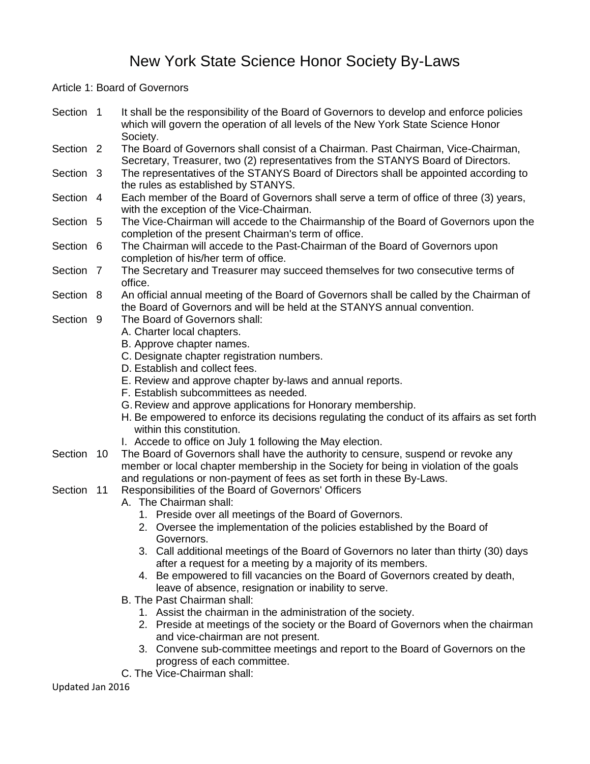## New York State Science Honor Society By-Laws

Article 1: Board of Governors

| Section 1            | It shall be the responsibility of the Board of Governors to develop and enforce policies<br>which will govern the operation of all levels of the New York State Science Honor<br>Society. |
|----------------------|-------------------------------------------------------------------------------------------------------------------------------------------------------------------------------------------|
| Section <sub>2</sub> | The Board of Governors shall consist of a Chairman. Past Chairman, Vice-Chairman,<br>Secretary, Treasurer, two (2) representatives from the STANYS Board of Directors.                    |
| Section 3            | The representatives of the STANYS Board of Directors shall be appointed according to<br>the rules as established by STANYS.                                                               |
| Section 4            | Each member of the Board of Governors shall serve a term of office of three (3) years,<br>with the exception of the Vice-Chairman.                                                        |
| Section 5            | The Vice-Chairman will accede to the Chairmanship of the Board of Governors upon the<br>completion of the present Chairman's term of office.                                              |
| Section 6            | The Chairman will accede to the Past-Chairman of the Board of Governors upon<br>completion of his/her term of office.                                                                     |
| Section 7            | The Secretary and Treasurer may succeed themselves for two consecutive terms of<br>office.                                                                                                |
| Section 8            | An official annual meeting of the Board of Governors shall be called by the Chairman of<br>the Board of Governors and will be held at the STANYS annual convention.                       |
| Section 9            | The Board of Governors shall:<br>A. Charter local chapters.<br>B. Approve chapter names.                                                                                                  |
|                      | C. Designate chapter registration numbers.<br>D. Establish and collect fees.                                                                                                              |
|                      | E. Review and approve chapter by-laws and annual reports.<br>F. Establish subcommittees as needed.                                                                                        |
|                      | G. Review and approve applications for Honorary membership.                                                                                                                               |
|                      | H. Be empowered to enforce its decisions regulating the conduct of its affairs as set forth<br>within this constitution.                                                                  |
|                      | I. Accede to office on July 1 following the May election.                                                                                                                                 |
| Section 10           | The Board of Governors shall have the authority to censure, suspend or revoke any<br>member or local chapter membership in the Society for being in violation of the goals                |
| Section 11           | and regulations or non-payment of fees as set forth in these By-Laws.<br>Responsibilities of the Board of Governors' Officers                                                             |
|                      | A. The Chairman shall:                                                                                                                                                                    |
|                      | 1. Preside over all meetings of the Board of Governors.                                                                                                                                   |
|                      | 2. Oversee the implementation of the policies established by the Board of<br>Governors.                                                                                                   |
|                      | 3. Call additional meetings of the Board of Governors no later than thirty (30) days                                                                                                      |
|                      | after a request for a meeting by a majority of its members.                                                                                                                               |
|                      | 4. Be empowered to fill vacancies on the Board of Governors created by death,                                                                                                             |
|                      | leave of absence, resignation or inability to serve.                                                                                                                                      |
|                      | B. The Past Chairman shall:                                                                                                                                                               |
|                      | 1. Assist the chairman in the administration of the society.                                                                                                                              |
|                      | 2. Preside at meetings of the society or the Board of Governors when the chairman                                                                                                         |
|                      | and vice-chairman are not present.                                                                                                                                                        |
|                      | 3. Convene sub-committee meetings and report to the Board of Governors on the<br>progress of each committee.                                                                              |
|                      | C. The Vice-Chairman shall:                                                                                                                                                               |

Updated Jan 2016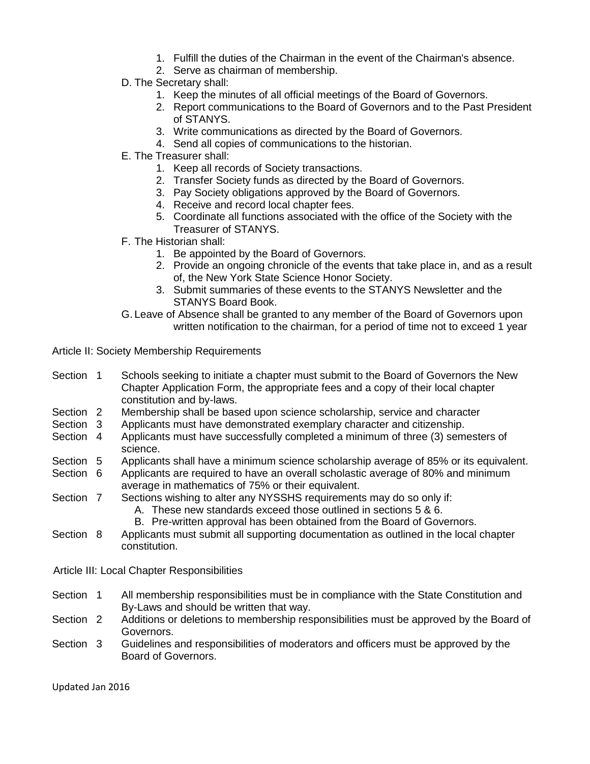- 1. Fulfill the duties of the Chairman in the event of the Chairman's absence.
- 2. Serve as chairman of membership.
- D. The Secretary shall:
	- 1. Keep the minutes of all official meetings of the Board of Governors.
	- 2. Report communications to the Board of Governors and to the Past President of STANYS.
	- 3. Write communications as directed by the Board of Governors.
	- 4. Send all copies of communications to the historian.
- E. The Treasurer shall:
	- 1. Keep all records of Society transactions.
	- 2. Transfer Society funds as directed by the Board of Governors.
	- 3. Pay Society obligations approved by the Board of Governors.
	- 4. Receive and record local chapter fees.
	- 5. Coordinate all functions associated with the office of the Society with the Treasurer of STANYS.
- F. The Historian shall:
	- 1. Be appointed by the Board of Governors.
	- 2. Provide an ongoing chronicle of the events that take place in, and as a result of, the New York State Science Honor Society.
	- 3. Submit summaries of these events to the STANYS Newsletter and the STANYS Board Book.
- G. Leave of Absence shall be granted to any member of the Board of Governors upon written notification to the chairman, for a period of time not to exceed 1 year

Article II: Society Membership Requirements

- Section 1 Schools seeking to initiate a chapter must submit to the Board of Governors the New Chapter Application Form, the appropriate fees and a copy of their local chapter constitution and by-laws.
- Section 2 Membership shall be based upon science scholarship, service and character
- Section 3 Applicants must have demonstrated exemplary character and citizenship.
- Section 4 Applicants must have successfully completed a minimum of three (3) semesters of science.
- Section 5 Applicants shall have a minimum science scholarship average of 85% or its equivalent.
- Section 6 Applicants are required to have an overall scholastic average of 80% and minimum average in mathematics of 75% or their equivalent.
- Section 7 Sections wishing to alter any NYSSHS requirements may do so only if:
	- A. These new standards exceed those outlined in sections 5 & 6.
	- B. Pre-written approval has been obtained from the Board of Governors.
- Section 8 Applicants must submit all supporting documentation as outlined in the local chapter constitution.

Article III: Local Chapter Responsibilities

- Section 1 All membership responsibilities must be in compliance with the State Constitution and By-Laws and should be written that way.
- Section 2 Additions or deletions to membership responsibilities must be approved by the Board of Governors.
- Section 3 Guidelines and responsibilities of moderators and officers must be approved by the Board of Governors.

Updated Jan 2016